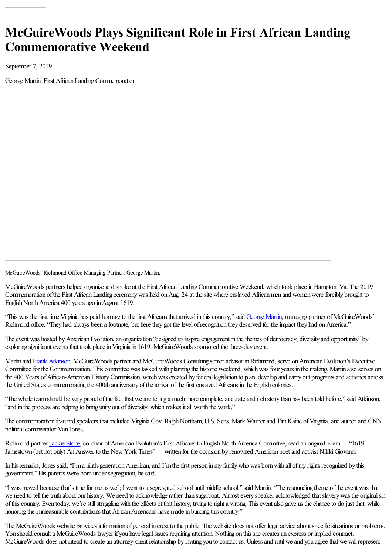## **McGuireWoods Plays Significant Role in First African Landing Commemorative Weekend**

September 7, 2019

George Martin, First African Landing Commemoration

McGuireWoods' Richmond Office Managing Partner, George Martin.

McGuireWoods partners helped organize and spoke at the First African Landing Commemorative Weekend, which took place in Hampton, Va. The 2019 Commemoration of the First African Landing ceremony was held on Aug. 24 at the site where enslaved African men and women were forcibly brought to English North America 400 years ago in August 1619.

"This was the first time Virginia has paid homage to the first Africans that arrived in this country," said [George](https://www.mcguirewoods.com/people/m/george-keith-martin) Martin, managing partner of McGuireWoods' Richmond office. "They had always been a footnote, but here they got the level of recognition they deserved for the impact they had on America."

The event was hosted by American Evolution, an organization "designed to inspire engagement in the themes of democracy, diversity and opportunity" by exploring significant events that took place in Virginia in 1619. McGuireWoods sponsored the three-day event.

Martin and Frank [Atkinson](https://www.mcguirewoods.com/people/a/frank-b-atkinson), McGuireWoods partner and McGuireWoods Consulting senior advisor in Richmond, serve on American Evolution's Executive Committee for the Commemoration. This committee was tasked with planning the historic weekend, which was four years in the making. Martin also serves on the 400 Years of African-American History Commission, which was created by federal legislation to plan, develop and carry out programs and activities across the United States commemorating the 400th anniversary of the arrival of the first enslaved Africans in the English colonies.

"The whole team should be very proud of the fact that we are telling a much more complete, accurate and rich story than has been told before," said Atkinson, "and in the process are helping to bring unity out of diversity, which makes it all worth the work."

The commemoration featured speakers that included Virginia Gov. Ralph Northam, U.S. Sens. Mark Warner and Tim Kaine of Virginia, and author and CNN political commentator Van Jones.

Richmond partner [Jackie](https://www.mcguirewoods.com/people/s/jacquelyn-e-stone) Stone, co-chair of American Evolution's First Africans to English North America Committee, read an original poem— "1619" Jamestown (but not only) An Answer to the New York Times"— written for the occasion by renowned American poet and activist Nikki Giovanni.

In his remarks, Jones said, 'T'm a ninth-generation American, and I'm the first person in my family who was born with all of my rights recognized by this government."His parents were born under segregation, hesaid.

"I was moved because that's true for me as well; I went to a segregated school until middle school," said Martin. "The resounding theme of the event was that we need to tell the truth about our history. We need to acknowledge rather than sugarcoat. Almost every speaker acknowledged that slavery was the original sin ofthiscountry. Even today, we'restillstrugglingwith theeffects ofthat history, trying to righta wrong. Thiseventalso gave us thechanceto do just that, while honoring the immeasurable contributions that African Americans have made in building this country."

The McGuireWoods website provides information of general interest to the public. The website does not offer legal advice about specific situations or problems. You should consult a McGuireWoods lawyer if you have legal issues requiring attention. Nothing on this site creates an express or implied contract. McGuireWoods does not intend to create an attorney-client relationship by inviting you to contact us. Unless and until we and you agree that we will represent